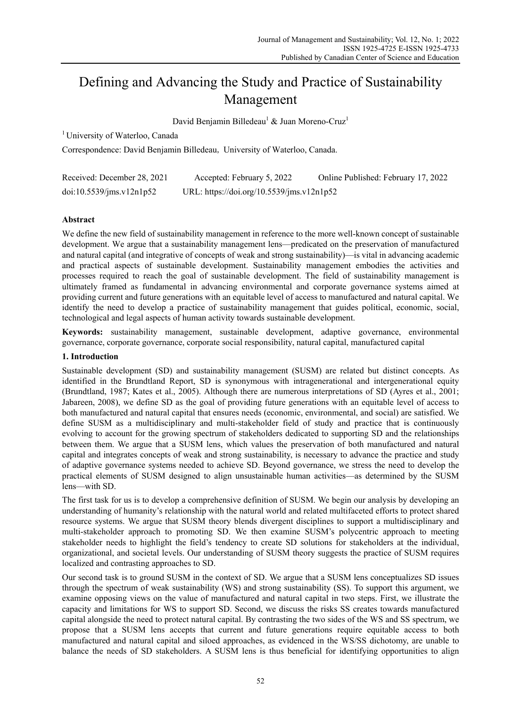# Defining and Advancing the Study and Practice of Sustainability Management

David Benjamin Billedeau<sup>1</sup> & Juan Moreno-Cruz<sup>1</sup>

1 University of Waterloo, Canada

Correspondence: David Benjamin Billedeau, University of Waterloo, Canada.

| Received: December 28, 2021 | Accepted: February 5, 2022                | Online Published: February 17, 2022 |
|-----------------------------|-------------------------------------------|-------------------------------------|
| doi:10.5539/ims.v12n1p52    | URL: https://doi.org/10.5539/jms.v12n1p52 |                                     |

# **Abstract**

We define the new field of sustainability management in reference to the more well-known concept of sustainable development. We argue that a sustainability management lens—predicated on the preservation of manufactured and natural capital (and integrative of concepts of weak and strong sustainability)—is vital in advancing academic and practical aspects of sustainable development. Sustainability management embodies the activities and processes required to reach the goal of sustainable development. The field of sustainability management is ultimately framed as fundamental in advancing environmental and corporate governance systems aimed at providing current and future generations with an equitable level of access to manufactured and natural capital. We identify the need to develop a practice of sustainability management that guides political, economic, social, technological and legal aspects of human activity towards sustainable development.

**Keywords:** sustainability management, sustainable development, adaptive governance, environmental governance, corporate governance, corporate social responsibility, natural capital, manufactured capital

## **1. Introduction**

Sustainable development (SD) and sustainability management (SUSM) are related but distinct concepts. As identified in the Brundtland Report, SD is synonymous with intragenerational and intergenerational equity (Brundtland, 1987; Kates et al., 2005). Although there are numerous interpretations of SD (Ayres et al., 2001; Jabareen, 2008), we define SD as the goal of providing future generations with an equitable level of access to both manufactured and natural capital that ensures needs (economic, environmental, and social) are satisfied. We define SUSM as a multidisciplinary and multi-stakeholder field of study and practice that is continuously evolving to account for the growing spectrum of stakeholders dedicated to supporting SD and the relationships between them. We argue that a SUSM lens, which values the preservation of both manufactured and natural capital and integrates concepts of weak and strong sustainability, is necessary to advance the practice and study of adaptive governance systems needed to achieve SD. Beyond governance, we stress the need to develop the practical elements of SUSM designed to align unsustainable human activities—as determined by the SUSM lens—with SD.

The first task for us is to develop a comprehensive definition of SUSM. We begin our analysis by developing an understanding of humanity's relationship with the natural world and related multifaceted efforts to protect shared resource systems. We argue that SUSM theory blends divergent disciplines to support a multidisciplinary and multi-stakeholder approach to promoting SD. We then examine SUSM's polycentric approach to meeting stakeholder needs to highlight the field's tendency to create SD solutions for stakeholders at the individual, organizational, and societal levels. Our understanding of SUSM theory suggests the practice of SUSM requires localized and contrasting approaches to SD.

Our second task is to ground SUSM in the context of SD. We argue that a SUSM lens conceptualizes SD issues through the spectrum of weak sustainability (WS) and strong sustainability (SS). To support this argument, we examine opposing views on the value of manufactured and natural capital in two steps. First, we illustrate the capacity and limitations for WS to support SD. Second, we discuss the risks SS creates towards manufactured capital alongside the need to protect natural capital. By contrasting the two sides of the WS and SS spectrum, we propose that a SUSM lens accepts that current and future generations require equitable access to both manufactured and natural capital and siloed approaches, as evidenced in the WS/SS dichotomy, are unable to balance the needs of SD stakeholders. A SUSM lens is thus beneficial for identifying opportunities to align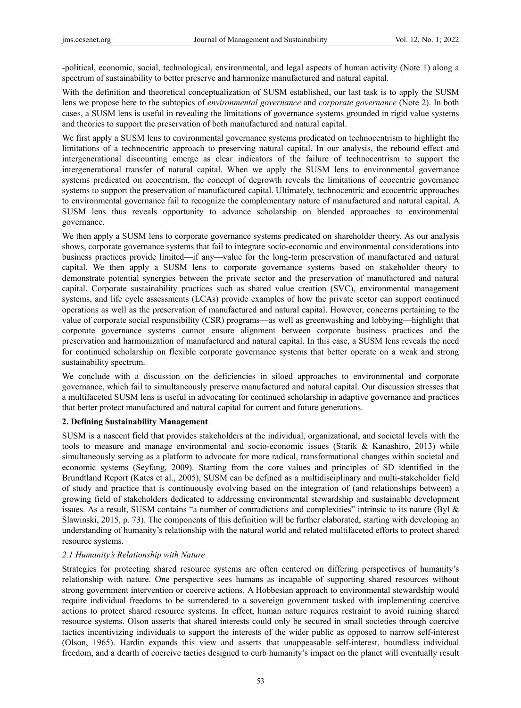-political, economic, social, technological, environmental, and legal aspects of human activity (Note 1) along a spectrum of sustainability to better preserve and harmonize manufactured and natural capital.

With the definition and theoretical conceptualization of SUSM established, our last task is to apply the SUSM lens we propose here to the subtopics of *environmental governance* and *corporate governance* (Note 2). In both cases, a SUSM lens is useful in revealing the limitations of governance systems grounded in rigid value systems and theories to support the preservation of both manufactured and natural capital.

We first apply a SUSM lens to environmental governance systems predicated on technocentrism to highlight the limitations of a technocentric approach to preserving natural capital. In our analysis, the rebound effect and intergenerational discounting emerge as clear indicators of the failure of technocentrism to support the intergenerational transfer of natural capital. When we apply the SUSM lens to environmental governance systems predicated on ecocentrism, the concept of degrowth reveals the limitations of ecocentric governance systems to support the preservation of manufactured capital. Ultimately, technocentric and ecocentric approaches to environmental governance fail to recognize the complementary nature of manufactured and natural capital. A SUSM lens thus reveals opportunity to advance scholarship on blended approaches to environmental governance.

We then apply a SUSM lens to corporate governance systems predicated on shareholder theory. As our analysis shows, corporate governance systems that fail to integrate socio-economic and environmental considerations into business practices provide limited—if any—value for the long-term preservation of manufactured and natural capital. We then apply a SUSM lens to corporate governance systems based on stakeholder theory to demonstrate potential synergies between the private sector and the preservation of manufactured and natural capital. Corporate sustainability practices such as shared value creation (SVC), environmental management systems, and life cycle assessments (LCAs) provide examples of how the private sector can support continued operations as well as the preservation of manufactured and natural capital. However, concerns pertaining to the value of corporate social responsibility (CSR) programs—as well as greenwashing and lobbying—highlight that corporate governance systems cannot ensure alignment between corporate business practices and the preservation and harmonization of manufactured and natural capital. In this case, a SUSM lens reveals the need for continued scholarship on flexible corporate governance systems that better operate on a weak and strong sustainability spectrum.

We conclude with a discussion on the deficiencies in siloed approaches to environmental and corporate governance, which fail to simultaneously preserve manufactured and natural capital. Our discussion stresses that a multifaceted SUSM lens is useful in advocating for continued scholarship in adaptive governance and practices that better protect manufactured and natural capital for current and future generations.

#### **2. Defining Sustainability Management**

SUSM is a nascent field that provides stakeholders at the individual, organizational, and societal levels with the tools to measure and manage environmental and socio-economic issues (Starik & Kanashiro, 2013) while simultaneously serving as a platform to advocate for more radical, transformational changes within societal and economic systems (Seyfang, 2009). Starting from the core values and principles of SD identified in the Brundtland Report (Kates et al., 2005), SUSM can be defined as a multidisciplinary and multi-stakeholder field of study and practice that is continuously evolving based on the integration of (and relationships between) a growing field of stakeholders dedicated to addressing environmental stewardship and sustainable development issues. As a result, SUSM contains "a number of contradictions and complexities" intrinsic to its nature (Byl & Slawinski, 2015, p. 73). The components of this definition will be further elaborated, starting with developing an understanding of humanity's relationship with the natural world and related multifaceted efforts to protect shared resource systems.

#### *2.1 Humanity's Relationship with Nature*

Strategies for protecting shared resource systems are often centered on differing perspectives of humanity's relationship with nature. One perspective sees humans as incapable of supporting shared resources without strong government intervention or coercive actions. A Hobbesian approach to environmental stewardship would require individual freedoms to be surrendered to a sovereign government tasked with implementing coercive actions to protect shared resource systems. In effect, human nature requires restraint to avoid ruining shared resource systems. Olson asserts that shared interests could only be secured in small societies through coercive tactics incentivizing individuals to support the interests of the wider public as opposed to narrow self-interest (Olson, 1965). Hardin expands this view and asserts that unappeasable self-interest, boundless individual freedom, and a dearth of coercive tactics designed to curb humanity's impact on the planet will eventually result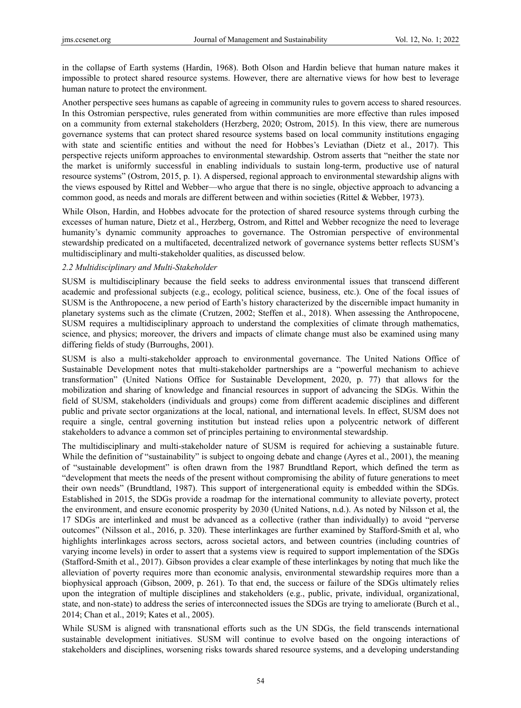in the collapse of Earth systems (Hardin, 1968). Both Olson and Hardin believe that human nature makes it impossible to protect shared resource systems. However, there are alternative views for how best to leverage human nature to protect the environment.

Another perspective sees humans as capable of agreeing in community rules to govern access to shared resources. In this Ostromian perspective, rules generated from within communities are more effective than rules imposed on a community from external stakeholders (Herzberg, 2020; Ostrom, 2015). In this view, there are numerous governance systems that can protect shared resource systems based on local community institutions engaging with state and scientific entities and without the need for Hobbes's Leviathan (Dietz et al., 2017). This perspective rejects uniform approaches to environmental stewardship. Ostrom asserts that "neither the state nor the market is uniformly successful in enabling individuals to sustain long-term, productive use of natural resource systems" (Ostrom, 2015, p. 1). A dispersed, regional approach to environmental stewardship aligns with the views espoused by Rittel and Webber—who argue that there is no single, objective approach to advancing a common good, as needs and morals are different between and within societies (Rittel & Webber, 1973).

While Olson, Hardin, and Hobbes advocate for the protection of shared resource systems through curbing the excesses of human nature, Dietz et al., Herzberg, Ostrom, and Rittel and Webber recognize the need to leverage humanity's dynamic community approaches to governance. The Ostromian perspective of environmental stewardship predicated on a multifaceted, decentralized network of governance systems better reflects SUSM's multidisciplinary and multi-stakeholder qualities, as discussed below.

#### *2.2 Multidisciplinary and Multi-Stakeholder*

SUSM is multidisciplinary because the field seeks to address environmental issues that transcend different academic and professional subjects (e.g., ecology, political science, business, etc.). One of the focal issues of SUSM is the Anthropocene, a new period of Earth's history characterized by the discernible impact humanity in planetary systems such as the climate (Crutzen, 2002; Steffen et al., 2018). When assessing the Anthropocene, SUSM requires a multidisciplinary approach to understand the complexities of climate through mathematics, science, and physics; moreover, the drivers and impacts of climate change must also be examined using many differing fields of study (Burroughs, 2001).

SUSM is also a multi-stakeholder approach to environmental governance. The United Nations Office of Sustainable Development notes that multi-stakeholder partnerships are a "powerful mechanism to achieve transformation" (United Nations Office for Sustainable Development, 2020, p. 77) that allows for the mobilization and sharing of knowledge and financial resources in support of advancing the SDGs. Within the field of SUSM, stakeholders (individuals and groups) come from different academic disciplines and different public and private sector organizations at the local, national, and international levels. In effect, SUSM does not require a single, central governing institution but instead relies upon a polycentric network of different stakeholders to advance a common set of principles pertaining to environmental stewardship.

The multidisciplinary and multi-stakeholder nature of SUSM is required for achieving a sustainable future. While the definition of "sustainability" is subject to ongoing debate and change (Ayres et al., 2001), the meaning of "sustainable development" is often drawn from the 1987 Brundtland Report, which defined the term as "development that meets the needs of the present without compromising the ability of future generations to meet their own needs" (Brundtland, 1987). This support of intergenerational equity is embedded within the SDGs. Established in 2015, the SDGs provide a roadmap for the international community to alleviate poverty, protect the environment, and ensure economic prosperity by 2030 (United Nations, n.d.). As noted by Nilsson et al, the 17 SDGs are interlinked and must be advanced as a collective (rather than individually) to avoid "perverse outcomes" (Nilsson et al., 2016, p. 320). These interlinkages are further examined by Stafford-Smith et al, who highlights interlinkages across sectors, across societal actors, and between countries (including countries of varying income levels) in order to assert that a systems view is required to support implementation of the SDGs (Stafford-Smith et al., 2017). Gibson provides a clear example of these interlinkages by noting that much like the alleviation of poverty requires more than economic analysis, environmental stewardship requires more than a biophysical approach (Gibson, 2009, p. 261). To that end, the success or failure of the SDGs ultimately relies upon the integration of multiple disciplines and stakeholders (e.g., public, private, individual, organizational, state, and non-state) to address the series of interconnected issues the SDGs are trying to ameliorate (Burch et al., 2014; Chan et al., 2019; Kates et al., 2005).

While SUSM is aligned with transnational efforts such as the UN SDGs, the field transcends international sustainable development initiatives. SUSM will continue to evolve based on the ongoing interactions of stakeholders and disciplines, worsening risks towards shared resource systems, and a developing understanding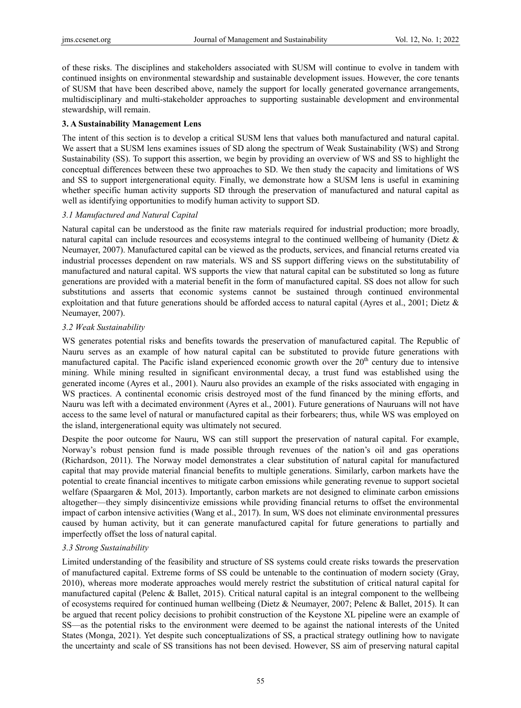of these risks. The disciplines and stakeholders associated with SUSM will continue to evolve in tandem with continued insights on environmental stewardship and sustainable development issues. However, the core tenants of SUSM that have been described above, namely the support for locally generated governance arrangements, multidisciplinary and multi-stakeholder approaches to supporting sustainable development and environmental stewardship, will remain.

#### **3. A Sustainability Management Lens**

The intent of this section is to develop a critical SUSM lens that values both manufactured and natural capital. We assert that a SUSM lens examines issues of SD along the spectrum of Weak Sustainability (WS) and Strong Sustainability (SS). To support this assertion, we begin by providing an overview of WS and SS to highlight the conceptual differences between these two approaches to SD. We then study the capacity and limitations of WS and SS to support intergenerational equity. Finally, we demonstrate how a SUSM lens is useful in examining whether specific human activity supports SD through the preservation of manufactured and natural capital as well as identifying opportunities to modify human activity to support SD.

#### *3.1 Manufactured and Natural Capital*

Natural capital can be understood as the finite raw materials required for industrial production; more broadly, natural capital can include resources and ecosystems integral to the continued wellbeing of humanity (Dietz & Neumayer, 2007). Manufactured capital can be viewed as the products, services, and financial returns created via industrial processes dependent on raw materials. WS and SS support differing views on the substitutability of manufactured and natural capital. WS supports the view that natural capital can be substituted so long as future generations are provided with a material benefit in the form of manufactured capital. SS does not allow for such substitutions and asserts that economic systems cannot be sustained through continued environmental exploitation and that future generations should be afforded access to natural capital (Ayres et al., 2001; Dietz  $\&$ Neumayer, 2007).

## *3.2 Weak Sustainability*

WS generates potential risks and benefits towards the preservation of manufactured capital. The Republic of Nauru serves as an example of how natural capital can be substituted to provide future generations with manufactured capital. The Pacific island experienced economic growth over the  $20<sup>th</sup>$  century due to intensive mining. While mining resulted in significant environmental decay, a trust fund was established using the generated income (Ayres et al., 2001). Nauru also provides an example of the risks associated with engaging in WS practices. A continental economic crisis destroyed most of the fund financed by the mining efforts, and Nauru was left with a decimated environment (Ayres et al., 2001). Future generations of Nauruans will not have access to the same level of natural or manufactured capital as their forbearers; thus, while WS was employed on the island, intergenerational equity was ultimately not secured.

Despite the poor outcome for Nauru, WS can still support the preservation of natural capital. For example, Norway's robust pension fund is made possible through revenues of the nation's oil and gas operations (Richardson, 2011). The Norway model demonstrates a clear substitution of natural capital for manufactured capital that may provide material financial benefits to multiple generations. Similarly, carbon markets have the potential to create financial incentives to mitigate carbon emissions while generating revenue to support societal welfare (Spaargaren & Mol, 2013). Importantly, carbon markets are not designed to eliminate carbon emissions altogether—they simply disincentivize emissions while providing financial returns to offset the environmental impact of carbon intensive activities (Wang et al., 2017). In sum, WS does not eliminate environmental pressures caused by human activity, but it can generate manufactured capital for future generations to partially and imperfectly offset the loss of natural capital.

## *3.3 Strong Sustainability*

Limited understanding of the feasibility and structure of SS systems could create risks towards the preservation of manufactured capital. Extreme forms of SS could be untenable to the continuation of modern society (Gray, 2010), whereas more moderate approaches would merely restrict the substitution of critical natural capital for manufactured capital (Pelenc & Ballet, 2015). Critical natural capital is an integral component to the wellbeing of ecosystems required for continued human wellbeing (Dietz & Neumayer, 2007; Pelenc & Ballet, 2015). It can be argued that recent policy decisions to prohibit construction of the Keystone XL pipeline were an example of SS—as the potential risks to the environment were deemed to be against the national interests of the United States (Monga, 2021). Yet despite such conceptualizations of SS, a practical strategy outlining how to navigate the uncertainty and scale of SS transitions has not been devised. However, SS aim of preserving natural capital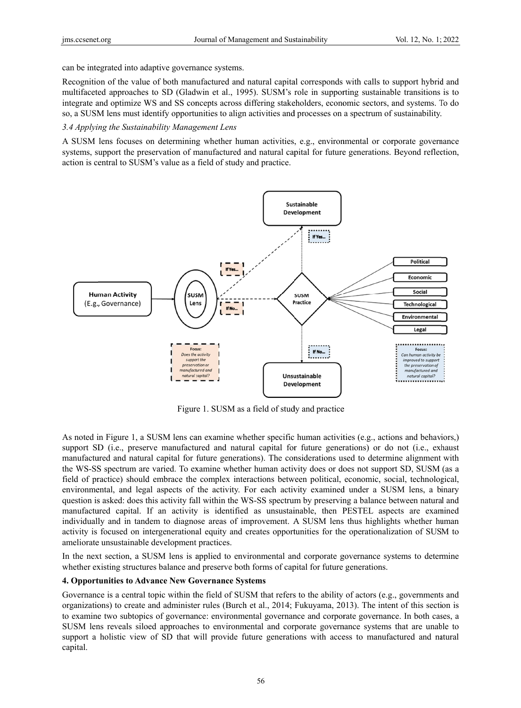can be integrated into adaptive governance systems.

Recognition of the value of both manufactured and natural capital corresponds with calls to support hybrid and multifaceted approaches to SD (Gladwin et al., 1995). SUSM's role in supporting sustainable transitions is to integrate and optimize WS and SS concepts across differing stakeholders, economic sectors, and systems. To do so, a SUSM lens must identify opportunities to align activities and processes on a spectrum of sustainability.

#### 3.4 Applying the Sustainability Management Lens

A SUSM lens focuses on determining whether human activities, e.g., environmental or corporate governance systems, support the preservation of manufactured and natural capital for future generations. Beyond reflection, action is central to SUSM's value as a field of study and practice.



Figure 1. SUSM as a field of study and practice

Figure 1. SUSM as a field of study and practice<br>As noted in Figure 1, a SUSM lens can examine whether specific human activities (e.g., actions and behaviors,) support SD (i.e., preserve manufactured and natural capital for future generations) or do not (i.e., exhaust manufactured and natural capital for future generations). The considerations used to determine alignment with the WS-SS spectrum are varied. To examine whether human activity does or does not support SD, SUSM (as a field of practice) should embrace the complex interactions between political, economic, social, technological, environmental, and legal aspects of the activity. For each activity examined under a SUSM lens, a binary question is asked: does this activity fall within the WS-SS spectrum by preserving a balance between natural and manufactured capital. If an activity is identified as unsustainable, then PESTEL aspects are examined individually and in tandem to diagnose areas of improvement. A SUSM lens thus highlights whether human activity is focused on intergenerational equity and creates opportunities for the operationalization of SUSM to ameliorate unsustainable development practices.

In the next section, a SUSM lens is applied to environmental and corporate governance systems to determine whether existing structures balance and preserve both forms of capital for future generations.

## **4. Opportunities to Advance New Governance Systems**

Governance is a central topic within the field of SUSM that refers to the ability of actors (e.g., governments and organizations) to create and administer rules (Burch et al., 2014; Fukuyama, 2013). The intent of this section is to examine two subtopics of governance: environmental governance and corporate governance. In both cases, a SUSM lens reveals siloed approaches to environmental and corporate governance systems that are unable to support a holistic view of SD that will provide future generations with access to manufactured and natural capital.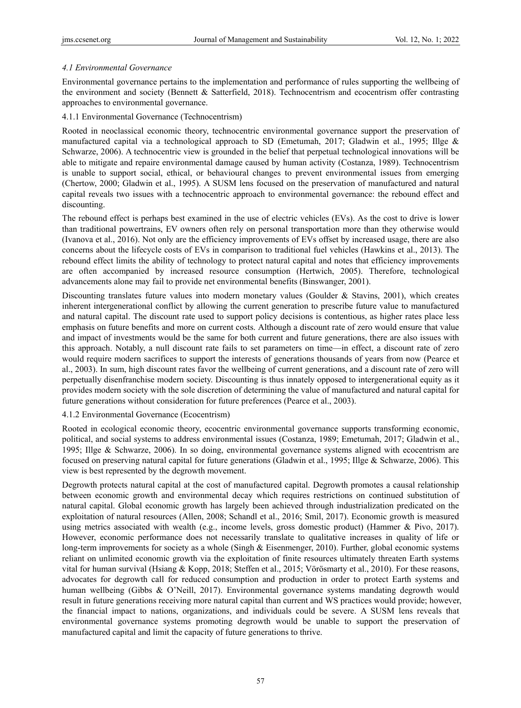## *4.1 Environmental Governance*

Environmental governance pertains to the implementation and performance of rules supporting the wellbeing of the environment and society (Bennett & Satterfield, 2018). Technocentrism and ecocentrism offer contrasting approaches to environmental governance.

## 4.1.1 Environmental Governance (Technocentrism)

Rooted in neoclassical economic theory, technocentric environmental governance support the preservation of manufactured capital via a technological approach to SD (Emetumah, 2017; Gladwin et al., 1995; Illge & Schwarze, 2006). A technocentric view is grounded in the belief that perpetual technological innovations will be able to mitigate and repaire environmental damage caused by human activity (Costanza, 1989). Technocentrism is unable to support social, ethical, or behavioural changes to prevent environmental issues from emerging (Chertow, 2000; Gladwin et al., 1995). A SUSM lens focused on the preservation of manufactured and natural capital reveals two issues with a technocentric approach to environmental governance: the rebound effect and discounting.

The rebound effect is perhaps best examined in the use of electric vehicles (EVs). As the cost to drive is lower than traditional powertrains, EV owners often rely on personal transportation more than they otherwise would (Ivanova et al., 2016). Not only are the efficiency improvements of EVs offset by increased usage, there are also concerns about the lifecycle costs of EVs in comparison to traditional fuel vehicles (Hawkins et al., 2013). The rebound effect limits the ability of technology to protect natural capital and notes that efficiency improvements are often accompanied by increased resource consumption (Hertwich, 2005). Therefore, technological advancements alone may fail to provide net environmental benefits (Binswanger, 2001).

Discounting translates future values into modern monetary values (Goulder & Stavins, 2001), which creates inherent intergenerational conflict by allowing the current generation to prescribe future value to manufactured and natural capital. The discount rate used to support policy decisions is contentious, as higher rates place less emphasis on future benefits and more on current costs. Although a discount rate of zero would ensure that value and impact of investments would be the same for both current and future generations, there are also issues with this approach. Notably, a null discount rate fails to set parameters on time—in effect, a discount rate of zero would require modern sacrifices to support the interests of generations thousands of years from now (Pearce et al., 2003). In sum, high discount rates favor the wellbeing of current generations, and a discount rate of zero will perpetually disenfranchise modern society. Discounting is thus innately opposed to intergenerational equity as it provides modern society with the sole discretion of determining the value of manufactured and natural capital for future generations without consideration for future preferences (Pearce et al., 2003).

## 4.1.2 Environmental Governance (Ecocentrism)

Rooted in ecological economic theory, ecocentric environmental governance supports transforming economic, political, and social systems to address environmental issues (Costanza, 1989; Emetumah, 2017; Gladwin et al., 1995; Illge & Schwarze, 2006). In so doing, environmental governance systems aligned with ecocentrism are focused on preserving natural capital for future generations (Gladwin et al., 1995; Illge & Schwarze, 2006). This view is best represented by the degrowth movement.

Degrowth protects natural capital at the cost of manufactured capital. Degrowth promotes a causal relationship between economic growth and environmental decay which requires restrictions on continued substitution of natural capital. Global economic growth has largely been achieved through industrialization predicated on the exploitation of natural resources (Allen, 2008; Schandl et al., 2016; Smil, 2017). Economic growth is measured using metrics associated with wealth (e.g., income levels, gross domestic product) (Hammer & Pivo, 2017). However, economic performance does not necessarily translate to qualitative increases in quality of life or long-term improvements for society as a whole (Singh & Eisenmenger, 2010). Further, global economic systems reliant on unlimited economic growth via the exploitation of finite resources ultimately threaten Earth systems vital for human survival (Hsiang & Kopp, 2018; Steffen et al., 2015; Vörösmarty et al., 2010). For these reasons, advocates for degrowth call for reduced consumption and production in order to protect Earth systems and human wellbeing (Gibbs & O'Neill, 2017). Environmental governance systems mandating degrowth would result in future generations receiving more natural capital than current and WS practices would provide; however, the financial impact to nations, organizations, and individuals could be severe. A SUSM lens reveals that environmental governance systems promoting degrowth would be unable to support the preservation of manufactured capital and limit the capacity of future generations to thrive.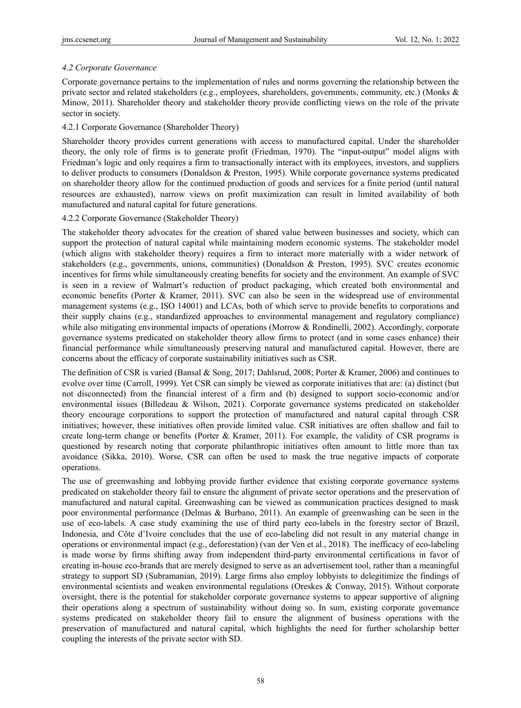# *4.2 Corporate Governance*

Corporate governance pertains to the implementation of rules and norms governing the relationship between the private sector and related stakeholders (e.g., employees, shareholders, governments, community, etc.) (Monks & Minow, 2011). Shareholder theory and stakeholder theory provide conflicting views on the role of the private sector in society.

# 4.2.1 Corporate Governance (Shareholder Theory)

Shareholder theory provides current generations with access to manufactured capital. Under the shareholder theory, the only role of firms is to generate profit (Friedman, 1970). The "input-output" model aligns with Friedman's logic and only requires a firm to transactionally interact with its employees, investors, and suppliers to deliver products to consumers (Donaldson & Preston, 1995). While corporate governance systems predicated on shareholder theory allow for the continued production of goods and services for a finite period (until natural resources are exhausted), narrow views on profit maximization can result in limited availability of both manufactured and natural capital for future generations.

# 4.2.2 Corporate Governance (Stakeholder Theory)

The stakeholder theory advocates for the creation of shared value between businesses and society, which can support the protection of natural capital while maintaining modern economic systems. The stakeholder model (which aligns with stakeholder theory) requires a firm to interact more materially with a wider network of stakeholders (e.g., governments, unions, communities) (Donaldson & Preston, 1995). SVC creates economic incentives for firms while simultaneously creating benefits for society and the environment. An example of SVC is seen in a review of Walmart's reduction of product packaging, which created both environmental and economic benefits (Porter & Kramer, 2011). SVC can also be seen in the widespread use of environmental management systems (e.g., ISO 14001) and LCAs, both of which serve to provide benefits to corporations and their supply chains (e.g., standardized approaches to environmental management and regulatory compliance) while also mitigating environmental impacts of operations (Morrow & Rondinelli, 2002). Accordingly, corporate governance systems predicated on stakeholder theory allow firms to protect (and in some cases enhance) their financial performance while simultaneously preserving natural and manufactured capital. However, there are concerns about the efficacy of corporate sustainability initiatives such as CSR.

The definition of CSR is varied (Bansal & Song, 2017; Dahlsrud, 2008; Porter & Kramer, 2006) and continues to evolve over time (Carroll, 1999). Yet CSR can simply be viewed as corporate initiatives that are: (a) distinct (but not disconnected) from the financial interest of a firm and (b) designed to support socio-economic and/or environmental issues (Billedeau & Wilson, 2021). Corporate governance systems predicated on stakeholder theory encourage corporations to support the protection of manufactured and natural capital through CSR initiatives; however, these initiatives often provide limited value. CSR initiatives are often shallow and fail to create long-term change or benefits (Porter & Kramer, 2011). For example, the validity of CSR programs is questioned by research noting that corporate philanthropic initiatives often amount to little more than tax avoidance (Sikka, 2010). Worse, CSR can often be used to mask the true negative impacts of corporate operations.

The use of greenwashing and lobbying provide further evidence that existing corporate governance systems predicated on stakeholder theory fail to ensure the alignment of private sector operations and the preservation of manufactured and natural capital. Greenwashing can be viewed as communication practices designed to mask poor environmental performance (Delmas & Burbano, 2011). An example of greenwashing can be seen in the use of eco-labels. A case study examining the use of third party eco-labels in the forestry sector of Brazil, Indonesia, and Côte d'Ivoire concludes that the use of eco-labeling did not result in any material change in operations or environmental impact (e.g., deforestation) (van der Ven et al., 2018). The inefficacy of eco-labeling is made worse by firms shifting away from independent third-party environmental certifications in favor of creating in-house eco-brands that are merely designed to serve as an advertisement tool, rather than a meaningful strategy to support SD (Subramanian, 2019). Large firms also employ lobbyists to delegitimize the findings of environmental scientists and weaken environmental regulations (Oreskes & Conway, 2015). Without corporate oversight, there is the potential for stakeholder corporate governance systems to appear supportive of aligning their operations along a spectrum of sustainability without doing so. In sum, existing corporate governance systems predicated on stakeholder theory fail to ensure the alignment of business operations with the preservation of manufactured and natural capital, which highlights the need for further scholarship better coupling the interests of the private sector with SD.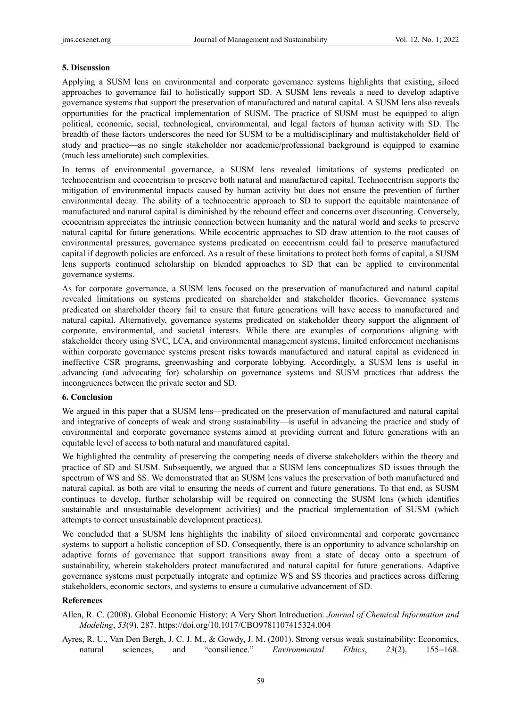#### **5. Discussion**

Applying a SUSM lens on environmental and corporate governance systems highlights that existing, siloed approaches to governance fail to holistically support SD. A SUSM lens reveals a need to develop adaptive governance systems that support the preservation of manufactured and natural capital. A SUSM lens also reveals opportunities for the practical implementation of SUSM. The practice of SUSM must be equipped to align political, economic, social, technological, environmental, and legal factors of human activity with SD. The breadth of these factors underscores the need for SUSM to be a multidisciplinary and multistakeholder field of study and practice—as no single stakeholder nor academic/professional background is equipped to examine (much less ameliorate) such complexities.

In terms of environmental governance, a SUSM lens revealed limitations of systems predicated on technocentrism and ecocentrism to preserve both natural and manufactured capital. Technocentrism supports the mitigation of environmental impacts caused by human activity but does not ensure the prevention of further environmental decay. The ability of a technocentric approach to SD to support the equitable maintenance of manufactured and natural capital is diminished by the rebound effect and concerns over discounting. Conversely, ecocentrism appreciates the intrinsic connection between humanity and the natural world and seeks to preserve natural capital for future generations. While ecocentric approaches to SD draw attention to the root causes of environmental pressures, governance systems predicated on ecocentrism could fail to preserve manufactured capital if degrowth policies are enforced. As a result of these limitations to protect both forms of capital, a SUSM lens supports continued scholarship on blended approaches to SD that can be applied to environmental governance systems.

As for corporate governance, a SUSM lens focused on the preservation of manufactured and natural capital revealed limitations on systems predicated on shareholder and stakeholder theories. Governance systems predicated on shareholder theory fail to ensure that future generations will have access to manufactured and natural capital. Alternatively, governance systems predicated on stakeholder theory support the alignment of corporate, environmental, and societal interests. While there are examples of corporations aligning with stakeholder theory using SVC, LCA, and environmental management systems, limited enforcement mechanisms within corporate governance systems present risks towards manufactured and natural capital as evidenced in ineffective CSR programs, greenwashing and corporate lobbying. Accordingly, a SUSM lens is useful in advancing (and advocating for) scholarship on governance systems and SUSM practices that address the incongruences between the private sector and SD.

### **6. Conclusion**

We argued in this paper that a SUSM lens—predicated on the preservation of manufactured and natural capital and integrative of concepts of weak and strong sustainability—is useful in advancing the practice and study of environmental and corporate governance systems aimed at providing current and future generations with an equitable level of access to both natural and manufatured capital.

We highlighted the centrality of preserving the competing needs of diverse stakeholders within the theory and practice of SD and SUSM. Subsequently, we argued that a SUSM lens conceptualizes SD issues through the spectrum of WS and SS. We demonstrated that an SUSM lens values the preservation of both manufactured and natural capital, as both are vital to ensuring the needs of current and future generations. To that end, as SUSM continues to develop, further scholarship will be required on connecting the SUSM lens (which identifies sustainable and unsustainable development activities) and the practical implementation of SUSM (which attempts to correct unsustainable development practices).

We concluded that a SUSM lens highlights the inability of siloed environmental and corporate governance systems to support a holistic conception of SD. Consequently, there is an opportunity to advance scholarship on adaptive forms of governance that support transitions away from a state of decay onto a spectrum of sustainability, wherein stakeholders protect manufactured and natural capital for future generations. Adaptive governance systems must perpetually integrate and optimize WS and SS theories and practices across differing stakeholders, economic sectors, and systems to ensure a cumulative advancement of SD.

## **References**

Allen, R. C. (2008). Global Economic History: A Very Short Introduction. *Journal of Chemical Information and Modeling*, *53*(9), 287. https://doi.org/10.1017/CBO9781107415324.004

Ayres, R. U., Van Den Bergh, J. C. J. M., & Gowdy, J. M. (2001). Strong versus weak sustainability: Economics, natural sciences, and "consilience." *Environmental Ethics*, *23*(2), 155−168.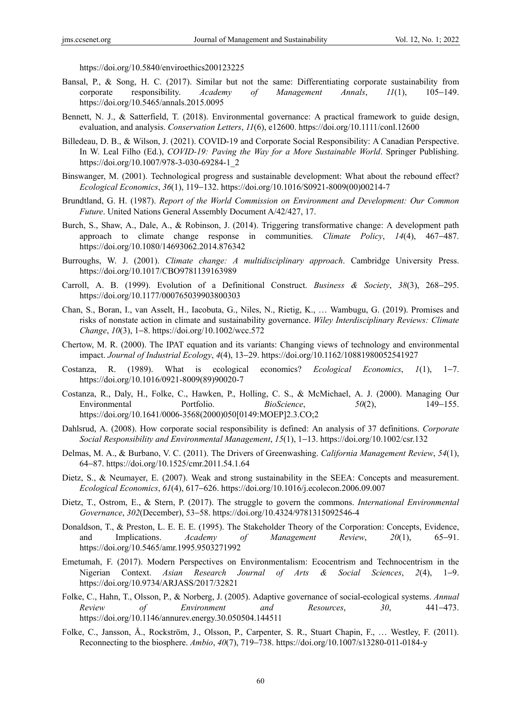https://doi.org/10.5840/enviroethics200123225

- Bansal, P., & Song, H. C. (2017). Similar but not the same: Differentiating corporate sustainability from corporate responsibility. *Academy of Management Annals*, *11*(1), 105−149. https://doi.org/10.5465/annals.2015.0095
- Bennett, N. J., & Satterfield, T. (2018). Environmental governance: A practical framework to guide design, evaluation, and analysis. *Conservation Letters*, *11*(6), e12600. https://doi.org/10.1111/conl.12600
- Billedeau, D. B., & Wilson, J. (2021). COVID-19 and Corporate Social Responsibility: A Canadian Perspective. In W. Leal Filho (Ed.), *COVID-19: Paving the Way for a More Sustainable World*. Springer Publishing. https://doi.org/10.1007/978-3-030-69284-1\_2
- Binswanger, M. (2001). Technological progress and sustainable development: What about the rebound effect? *Ecological Economics*, *36*(1), 119−132. https://doi.org/10.1016/S0921-8009(00)00214-7
- Brundtland, G. H. (1987). *Report of the World Commission on Environment and Development: Our Common Future*. United Nations General Assembly Document A/42/427, 17.
- Burch, S., Shaw, A., Dale, A., & Robinson, J. (2014). Triggering transformative change: A development path approach to climate change response in communities. *Climate Policy*, *14*(4), 467−487. https://doi.org/10.1080/14693062.2014.876342
- Burroughs, W. J. (2001). *Climate change: A multidisciplinary approach*. Cambridge University Press. https://doi.org/10.1017/CBO9781139163989
- Carroll, A. B. (1999). Evolution of a Definitional Construct. *Business & Society*, *38*(3), 268−295. https://doi.org/10.1177/000765039903800303
- Chan, S., Boran, I., van Asselt, H., Iacobuta, G., Niles, N., Rietig, K., … Wambugu, G. (2019). Promises and risks of nonstate action in climate and sustainability governance. *Wiley Interdisciplinary Reviews: Climate Change*, *10*(3), 1−8. https://doi.org/10.1002/wcc.572
- Chertow, M. R. (2000). The IPAT equation and its variants: Changing views of technology and environmental impact. *Journal of Industrial Ecology*, *4*(4), 13−29. https://doi.org/10.1162/10881980052541927
- Costanza, R. (1989). What is ecological economics? *Ecological Economics*, *1*(1), 1−7. https://doi.org/10.1016/0921-8009(89)90020-7
- Costanza, R., Daly, H., Folke, C., Hawken, P., Holling, C. S., & McMichael, A. J. (2000). Managing Our Environmental Portfolio. *BioScience*, *50*(2), 149−155. https://doi.org/10.1641/0006-3568(2000)050[0149:MOEP]2.3.CO;2
- Dahlsrud, A. (2008). How corporate social responsibility is defined: An analysis of 37 definitions. *Corporate Social Responsibility and Environmental Management*, *15*(1), 1−13. https://doi.org/10.1002/csr.132
- Delmas, M. A., & Burbano, V. C. (2011). The Drivers of Greenwashing. *California Management Review*, *54*(1), 64−87. https://doi.org/10.1525/cmr.2011.54.1.64
- Dietz, S., & Neumayer, E. (2007). Weak and strong sustainability in the SEEA: Concepts and measurement. *Ecological Economics*, *61*(4), 617−626. https://doi.org/10.1016/j.ecolecon.2006.09.007
- Dietz, T., Ostrom, E., & Stern, P. (2017). The struggle to govern the commons. *International Environmental Governance*, *302*(December), 53−58. https://doi.org/10.4324/9781315092546-4
- Donaldson, T., & Preston, L. E. E. E. (1995). The Stakeholder Theory of the Corporation: Concepts, Evidence, and Implications. *Academy of Management Review*, *20*(1), 65−91. https://doi.org/10.5465/amr.1995.9503271992
- Emetumah, F. (2017). Modern Perspectives on Environmentalism: Ecocentrism and Technocentrism in the Nigerian Context. *Asian Research Journal of Arts & Social Sciences*, *2*(4), 1−9. https://doi.org/10.9734/ARJASS/2017/32821
- Folke, C., Hahn, T., Olsson, P., & Norberg, J. (2005). Adaptive governance of social-ecological systems. *Annual Review of Environment and Resources*, *30*, 441−473. https://doi.org/10.1146/annurev.energy.30.050504.144511
- Folke, C., Jansson, Å., Rockström, J., Olsson, P., Carpenter, S. R., Stuart Chapin, F., … Westley, F. (2011). Reconnecting to the biosphere. *Ambio*, *40*(7), 719−738. https://doi.org/10.1007/s13280-011-0184-y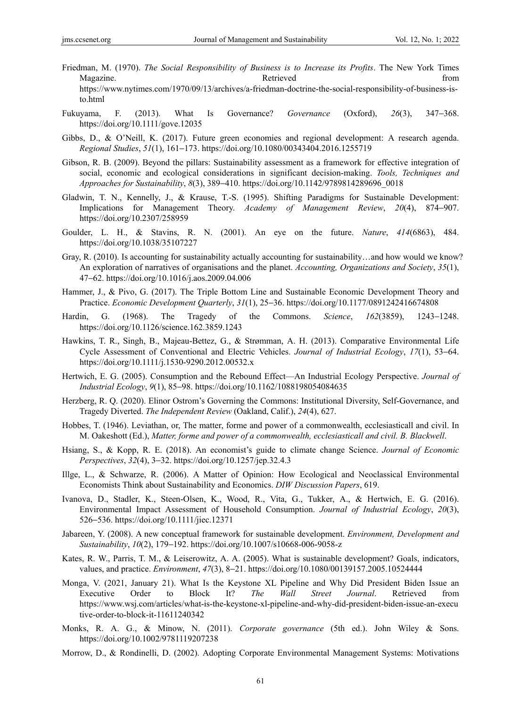- Friedman, M. (1970). *The Social Responsibility of Business is to Increase its Profits*. The New York Times Magazine. The contract of the contract of the Retrieved from the contract of the contract of the contract of the contract of the contract of the contract of the contract of the contract of the contract of the contract of t https://www.nytimes.com/1970/09/13/archives/a-friedman-doctrine-the-social-responsibility-of-business-isto.html
- Fukuyama, F. (2013). What Is Governance? *Governance* (Oxford), *26*(3), 347−368. https://doi.org/10.1111/gove.12035
- Gibbs, D., & O'Neill, K. (2017). Future green economies and regional development: A research agenda. *Regional Studies*, *51*(1), 161−173. https://doi.org/10.1080/00343404.2016.1255719
- Gibson, R. B. (2009). Beyond the pillars: Sustainability assessment as a framework for effective integration of social, economic and ecological considerations in significant decision-making. *Tools, Techniques and Approaches for Sustainability*, *8*(3), 389−410. https://doi.org/10.1142/9789814289696\_0018
- Gladwin, T. N., Kennelly, J., & Krause, T.-S. (1995). Shifting Paradigms for Sustainable Development: Implications for Management Theory. *Academy of Management Review*, *20*(4), 874−907. https://doi.org/10.2307/258959
- Goulder, L. H., & Stavins, R. N. (2001). An eye on the future. *Nature*, *414*(6863), 484. https://doi.org/10.1038/35107227
- Gray, R. (2010). Is accounting for sustainability actually accounting for sustainability…and how would we know? An exploration of narratives of organisations and the planet. *Accounting, Organizations and Society*, *35*(1), 47−62. https://doi.org/10.1016/j.aos.2009.04.006
- Hammer, J., & Pivo, G. (2017). The Triple Bottom Line and Sustainable Economic Development Theory and Practice. *Economic Development Quarterly*, *31*(1), 25−36. https://doi.org/10.1177/0891242416674808
- Hardin, G. (1968). The Tragedy of the Commons. *Science*, *162*(3859), 1243−1248. https://doi.org/10.1126/science.162.3859.1243
- Hawkins, T. R., Singh, B., Majeau-Bettez, G., & Strømman, A. H. (2013). Comparative Environmental Life Cycle Assessment of Conventional and Electric Vehicles. *Journal of Industrial Ecology*, *17*(1), 53−64. https://doi.org/10.1111/j.1530-9290.2012.00532.x
- Hertwich, E. G. (2005). Consumption and the Rebound Effect—An Industrial Ecology Perspective. *Journal of Industrial Ecology*, *9*(1), 85−98. https://doi.org/10.1162/1088198054084635
- Herzberg, R. Q. (2020). Elinor Ostrom's Governing the Commons: Institutional Diversity, Self-Governance, and Tragedy Diverted. *The Independent Review* (Oakland, Calif.), *24*(4), 627.
- Hobbes, T. (1946). Leviathan, or, The matter, forme and power of a commonwealth, ecclesiasticall and civil. In M. Oakeshott (Ed.), *Matter, forme and power of a commonwealth, ecclesiasticall and civil. B. Blackwell*.
- Hsiang, S., & Kopp, R. E. (2018). An economist's guide to climate change Science. *Journal of Economic Perspectives*, *32*(4), 3−32. https://doi.org/10.1257/jep.32.4.3
- Illge, L., & Schwarze, R. (2006). A Matter of Opinion: How Ecological and Neoclassical Environmental Economists Think about Sustainability and Economics. *DIW Discussion Papers*, 619.
- Ivanova, D., Stadler, K., Steen-Olsen, K., Wood, R., Vita, G., Tukker, A., & Hertwich, E. G. (2016). Environmental Impact Assessment of Household Consumption. *Journal of Industrial Ecology*, *20*(3), 526−536. https://doi.org/10.1111/jiec.12371
- Jabareen, Y. (2008). A new conceptual framework for sustainable development. *Environment, Development and Sustainability*, *10*(2), 179−192. https://doi.org/10.1007/s10668-006-9058-z
- Kates, R. W., Parris, T. M., & Leiserowitz, A. A. (2005). What is sustainable development? Goals, indicators, values, and practice. *Environment*, *47*(3), 8−21. https://doi.org/10.1080/00139157.2005.10524444
- Monga, V. (2021, January 21). What Is the Keystone XL Pipeline and Why Did President Biden Issue an Executive Order to Block It? *The Wall Street Journal*. Retrieved from https://www.wsj.com/articles/what-is-the-keystone-xl-pipeline-and-why-did-president-biden-issue-an-execu tive-order-to-block-it-11611240342
- Monks, R. A. G., & Minow, N. (2011). *Corporate governance* (5th ed.). John Wiley & Sons. https://doi.org/10.1002/9781119207238
- Morrow, D., & Rondinelli, D. (2002). Adopting Corporate Environmental Management Systems: Motivations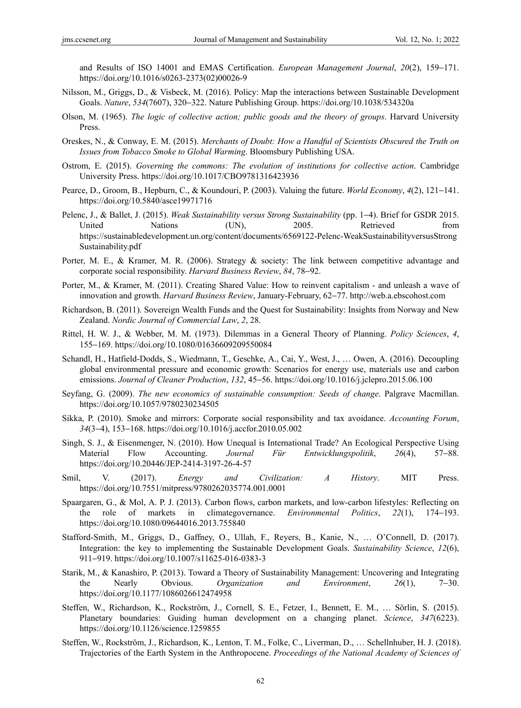and Results of ISO 14001 and EMAS Certification. *European Management Journal*, *20*(2), 159−171. https://doi.org/10.1016/s0263-2373(02)00026-9

- Nilsson, M., Griggs, D., & Visbeck, M. (2016). Policy: Map the interactions between Sustainable Development Goals. *Nature*, *534*(7607), 320−322. Nature Publishing Group. https://doi.org/10.1038/534320a
- Olson, M. (1965). *The logic of collective action; public goods and the theory of groups*. Harvard University Press.
- Oreskes, N., & Conway, E. M. (2015). *Merchants of Doubt: How a Handful of Scientists Obscured the Truth on Issues from Tobacco Smoke to Global Warming*. Bloomsbury Publishing USA.
- Ostrom, E. (2015). *Governing the commons: The evolution of institutions for collective action*. Cambridge University Press. https://doi.org/10.1017/CBO9781316423936
- Pearce, D., Groom, B., Hepburn, C., & Koundouri, P. (2003). Valuing the future. *World Economy*, *4*(2), 121−141. https://doi.org/10.5840/asce19971716
- Pelenc, J., & Ballet, J. (2015). *Weak Sustainability versus Strong Sustainability* (pp. 1−4). Brief for GSDR 2015. United Nations (UN), 2005. Retrieved from https://sustainabledevelopment.un.org/content/documents/6569122-Pelenc-WeakSustainabilityversusStrong Sustainability.pdf
- Porter, M. E., & Kramer, M. R. (2006). Strategy & society: The link between competitive advantage and corporate social responsibility. *Harvard Business Review*, *84*, 78−92.
- Porter, M., & Kramer, M. (2011). Creating Shared Value: How to reinvent capitalism and unleash a wave of innovation and growth. *Harvard Business Review*, January-February, 62−77. http://web.a.ebscohost.com
- Richardson, B. (2011). Sovereign Wealth Funds and the Quest for Sustainability: Insights from Norway and New Zealand. *Nordic Journal of Commercial Law*, *2*, 28.
- Rittel, H. W. J., & Webber, M. M. (1973). Dilemmas in a General Theory of Planning. *Policy Sciences*, *4*, 155−169. https://doi.org/10.1080/01636609209550084
- Schandl, H., Hatfield-Dodds, S., Wiedmann, T., Geschke, A., Cai, Y., West, J., … Owen, A. (2016). Decoupling global environmental pressure and economic growth: Scenarios for energy use, materials use and carbon emissions. *Journal of Cleaner Production*, *132*, 45−56. https://doi.org/10.1016/j.jclepro.2015.06.100
- Seyfang, G. (2009). *The new economics of sustainable consumption: Seeds of change*. Palgrave Macmillan. https://doi.org/10.1057/9780230234505
- Sikka, P. (2010). Smoke and mirrors: Corporate social responsibility and tax avoidance. *Accounting Forum*, *34*(3−4), 153−168. https://doi.org/10.1016/j.accfor.2010.05.002
- Singh, S. J., & Eisenmenger, N. (2010). How Unequal is International Trade? An Ecological Perspective Using Material Flow Accounting. *Journal Für Entwicklungspolitik*, *26*(4), 57−88. https://doi.org/10.20446/JEP-2414-3197-26-4-57
- Smil, V. (2017). *Energy and Civilization: A History*. MIT Press. https://doi.org/10.7551/mitpress/9780262035774.001.0001
- Spaargaren, G., & Mol, A. P. J. (2013). Carbon flows, carbon markets, and low-carbon lifestyles: Reflecting on the role of markets in climategovernance. *Environmental Politics*, *22*(1), 174−193. https://doi.org/10.1080/09644016.2013.755840
- Stafford-Smith, M., Griggs, D., Gaffney, O., Ullah, F., Reyers, B., Kanie, N., … O'Connell, D. (2017). Integration: the key to implementing the Sustainable Development Goals. *Sustainability Science*, *12*(6), 911−919. https://doi.org/10.1007/s11625-016-0383-3
- Starik, M., & Kanashiro, P. (2013). Toward a Theory of Sustainability Management: Uncovering and Integrating the Nearly Obvious. *Organization and Environment*, *26*(1), 7−30. https://doi.org/10.1177/1086026612474958
- Steffen, W., Richardson, K., Rockström, J., Cornell, S. E., Fetzer, I., Bennett, E. M., … Sörlin, S. (2015). Planetary boundaries: Guiding human development on a changing planet. *Science*, *347*(6223). https://doi.org/10.1126/science.1259855
- Steffen, W., Rockström, J., Richardson, K., Lenton, T. M., Folke, C., Liverman, D., … Schellnhuber, H. J. (2018). Trajectories of the Earth System in the Anthropocene. *Proceedings of the National Academy of Sciences of*